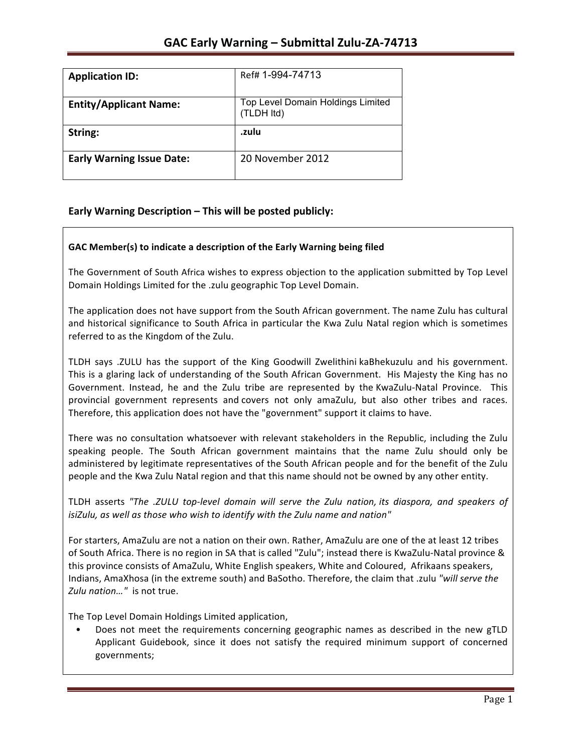| <b>Application ID:</b>           | Ref# 1-994-74713                                |
|----------------------------------|-------------------------------------------------|
| <b>Entity/Applicant Name:</b>    | Top Level Domain Holdings Limited<br>(TLDH Itd) |
| String:                          | .zulu                                           |
| <b>Early Warning Issue Date:</b> | 20 November 2012                                |

## **Early Warning Description – This will be posted publicly:**

### GAC Member(s) to indicate a description of the Early Warning being filed

The Government of South Africa wishes to express objection to the application submitted by Top Level Domain Holdings Limited for the .zulu geographic Top Level Domain.

The application does not have support from the South African government. The name Zulu has cultural and historical significance to South Africa in particular the Kwa Zulu Natal region which is sometimes referred to as the Kingdom of the Zulu.

TLDH says .ZULU has the support of the King Goodwill Zwelithini kaBhekuzulu and his government. This is a glaring lack of understanding of the South African Government. His Majesty the King has no Government. Instead, he and the Zulu tribe are represented by the KwaZulu-Natal Province. This provincial government represents and covers not only amaZulu, but also other tribes and races. Therefore, this application does not have the "government" support it claims to have.

There was no consultation whatsoever with relevant stakeholders in the Republic, including the Zulu speaking people. The South African government maintains that the name Zulu should only be administered by legitimate representatives of the South African people and for the benefit of the Zulu people and the Kwa Zulu Natal region and that this name should not be owned by any other entity.

TLDH asserts "The .ZULU top-level domain will serve the Zulu nation, its diaspora, and speakers of *isiZulu, as well as those who wish to identify with the Zulu name and nation"* 

For starters, AmaZulu are not a nation on their own. Rather, AmaZulu are one of the at least 12 tribes of South Africa. There is no region in SA that is called "Zulu"; instead there is KwaZulu-Natal province & this province consists of AmaZulu, White English speakers, White and Coloured, Afrikaans speakers, Indians, AmaXhosa (in the extreme south) and BaSotho. Therefore, the claim that .zulu "will serve the Zulu nation..." is not true.

The Top Level Domain Holdings Limited application,

Does not meet the requirements concerning geographic names as described in the new gTLD Applicant Guidebook, since it does not satisfy the required minimum support of concerned governments;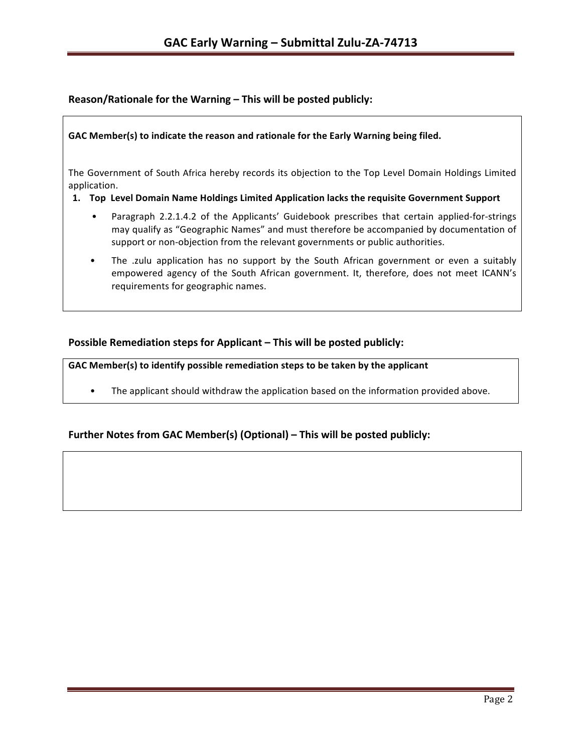## Reason/Rationale for the Warning – This will be posted publicly:

### GAC Member(s) to indicate the reason and rationale for the Early Warning being filed.

The Government of South Africa hereby records its objection to the Top Level Domain Holdings Limited application.

### 1. Top Level Domain Name Holdings Limited Application lacks the requisite Government Support

- Paragraph 2.2.1.4.2 of the Applicants' Guidebook prescribes that certain applied-for-strings may qualify as "Geographic Names" and must therefore be accompanied by documentation of support or non-objection from the relevant governments or public authorities.
- The .zulu application has no support by the South African government or even a suitably empowered agency of the South African government. It, therefore, does not meet ICANN's requirements for geographic names.

## **Possible Remediation steps for Applicant – This will be posted publicly:**

GAC Member(s) to identify possible remediation steps to be taken by the applicant

• The applicant should withdraw the application based on the information provided above.

## Further Notes from GAC Member(s) (Optional) – This will be posted publicly: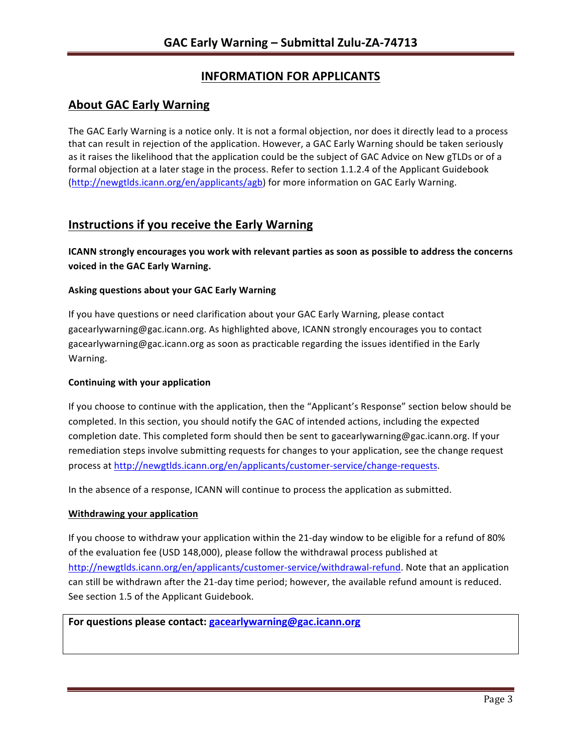# **INFORMATION FOR APPLICANTS**

# **About GAC Early Warning**

The GAC Early Warning is a notice only. It is not a formal objection, nor does it directly lead to a process that can result in rejection of the application. However, a GAC Early Warning should be taken seriously as it raises the likelihood that the application could be the subject of GAC Advice on New gTLDs or of a formal objection at a later stage in the process. Refer to section 1.1.2.4 of the Applicant Guidebook (http://newgtlds.icann.org/en/applicants/agb) for more information on GAC Early Warning.

## **Instructions if you receive the Early Warning**

**ICANN** strongly encourages you work with relevant parties as soon as possible to address the concerns **voiced in the GAC Early Warning.** 

### **Asking questions about your GAC Early Warning**

If you have questions or need clarification about your GAC Early Warning, please contact gacearlywarning@gac.icann.org. As highlighted above, ICANN strongly encourages you to contact gacearlywarning@gac.icann.org as soon as practicable regarding the issues identified in the Early Warning. 

### **Continuing with your application**

If you choose to continue with the application, then the "Applicant's Response" section below should be completed. In this section, you should notify the GAC of intended actions, including the expected completion date. This completed form should then be sent to gacearlywarning@gac.icann.org. If your remediation steps involve submitting requests for changes to your application, see the change request process at http://newgtlds.icann.org/en/applicants/customer-service/change-requests.

In the absence of a response, ICANN will continue to process the application as submitted.

### **Withdrawing your application**

If you choose to withdraw your application within the 21-day window to be eligible for a refund of 80% of the evaluation fee (USD 148,000), please follow the withdrawal process published at http://newgtlds.icann.org/en/applicants/customer-service/withdrawal-refund. Note that an application can still be withdrawn after the 21-day time period; however, the available refund amount is reduced. See section 1.5 of the Applicant Guidebook.

### For questions please contact: gacearlywarning@gac.icann.org